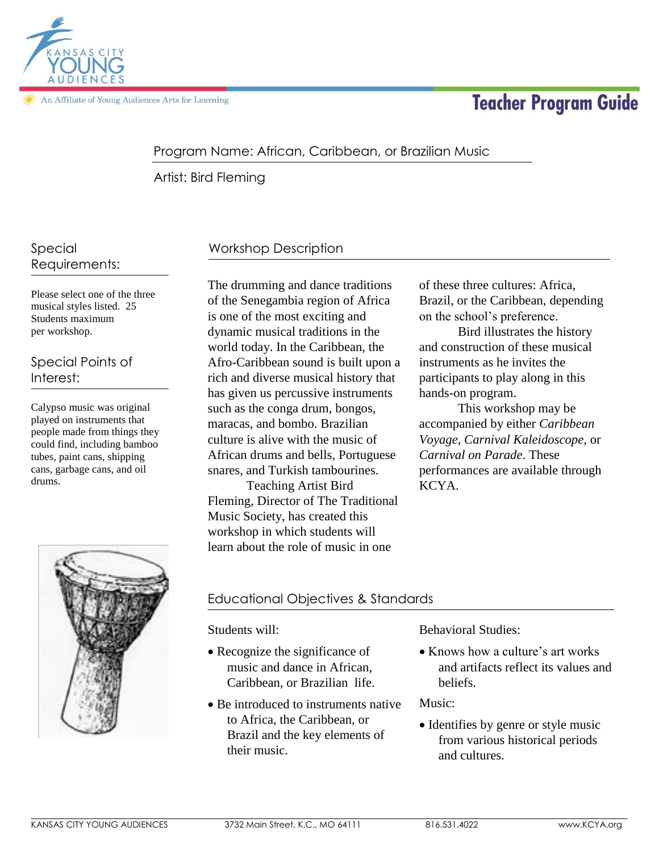

**Teacher Program Guide** 

## Program Name: African, Caribbean, or Brazilian Music

Artist: Bird Fleming

### Special Requirements:

Please select one of the three musical styles listed. 25 Students maximum per workshop.

Special Points of Interest:

Calypso music was original played on instruments that people made from things they could find, including bamboo tubes, paint cans, shipping cans, garbage cans, and oil drums.



# Workshop Description

The drumming and dance traditions of the Senegambia region of Africa is one of the most exciting and dynamic musical traditions in the world today. In the Caribbean, the Afro-Caribbean sound is built upon a rich and diverse musical history that has given us percussive instruments such as the conga drum, bongos, maracas, and bombo. Brazilian culture is alive with the music of African drums and bells, Portuguese snares, and Turkish tambourines.

Teaching Artist Bird Fleming, Director of The Traditional Music Society, has created this workshop in which students will learn about the role of music in one

of these three cultures: Africa, Brazil, or the Caribbean, depending on the school's preference.

Bird illustrates the history and construction of these musical instruments as he invites the participants to play along in this hands-on program.

This workshop may be accompanied by either *Caribbean Voyage, Carnival Kaleidoscope,* or *Carnival on Parade*. These performances are available through KCYA.

# Educational Objectives & Standards

Students will:

- Recognize the significance of music and dance in African, Caribbean, or Brazilian life.
- Be introduced to instruments native to Africa, the Caribbean, or Brazil and the key elements of their music.

Behavioral Studies:

beliefs. • Knows how a culture's art works and artifacts reflect its values and

Music:

• Identifies by genre or style music from various historical periods and cultures.